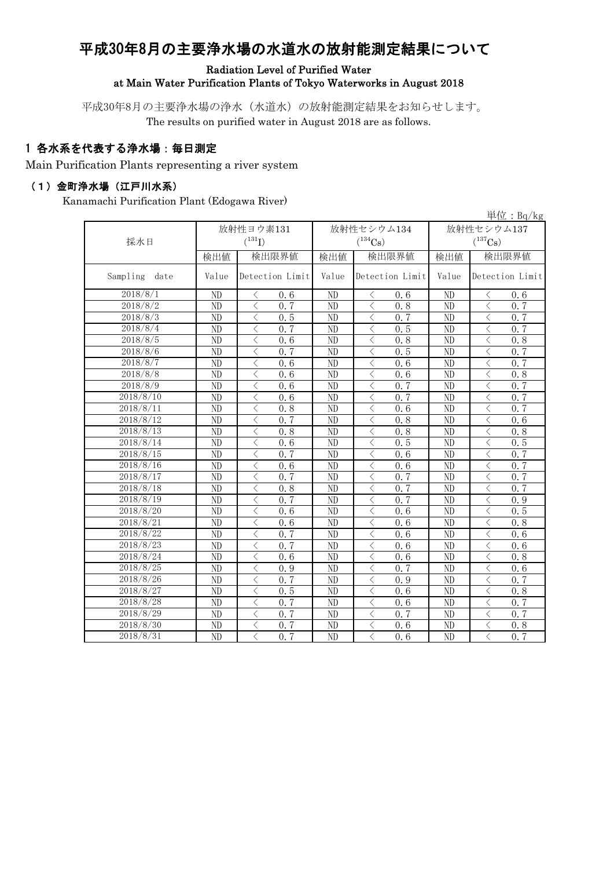# 平成30年8月の主要浄水場の水道水の放射能測定結果について

Radiation Level of Purified Water

at Main Water Purification Plants of Tokyo Waterworks in August 2018

平成30年8月の主要浄水場の浄水(水道水)の放射能測定結果をお知らせします。

The results on purified water in August 2018 are as follows.

### 1 各水系を代表する浄水場:毎日測定

Main Purification Plants representing a river system

#### (1)金町浄水場(江戸川水系)

Kanamachi Purification Plant (Edogawa River)

|                  |                 |                                                              |                 |                                                 |                 | 単位: $Bq/kg$                                      |  |
|------------------|-----------------|--------------------------------------------------------------|-----------------|-------------------------------------------------|-----------------|--------------------------------------------------|--|
|                  |                 | 放射性ヨウ素131                                                    |                 | 放射性セシウム134                                      | 放射性セシウム137      |                                                  |  |
| 採水日              |                 | $(^{131}I)$                                                  |                 | $(^{134}Cs)$                                    |                 | $(^{137}Cs)$                                     |  |
|                  | 検出値             | 検出限界値                                                        | 検出値             | 検出限界値                                           | 検出値             | 検出限界値                                            |  |
| Sampling<br>date | Value           | Detection Limit                                              | Value           | Detection Limit                                 | Value           | Detection Limit                                  |  |
| 2018/8/1         | ND              | 0.6<br>ぐ                                                     | ND              | く<br>0.6                                        | ND              | ぐ<br>0.6                                         |  |
| 2018/8/2         | ND              | $\lt$<br>0, 7                                                | ND              | $\langle$<br>0.8                                | ND              | 0, 7<br>$\langle$                                |  |
| 2018/8/3         | $\overline{ND}$ | $\lt$<br>0, 5                                                | ND              | $\lt$<br>0.7                                    | ND              | $\langle$<br>0, 7                                |  |
| 2018/8/4         | ND              | $\lt$<br>0.7                                                 | ND              | $\langle$<br>0.5                                | ND              | $\overline{\left\langle \right\rangle }$<br>0, 7 |  |
| 2018/8/5         | ND              | $\lt$<br>0, 6                                                | ND              | 0.8<br>$\lt$                                    | ND              | 0.8<br>$\lt$                                     |  |
| 2018/8/6         | ND              | $\langle$<br>0, 7                                            | ND              | 0.5<br>$\lt$                                    | ND              | $\lt$<br>0.7                                     |  |
| 2018/8/7         | ND              | $\langle$<br>0.6                                             | ND              | 0.6<br>$\lt$                                    | ND              | $\langle$<br>0, 7                                |  |
| 2018/8/8         | ND              | $\lt$<br>0, 6                                                | ND              | 0.6<br>$\lt$                                    | ND              | 0.8<br>$\langle$                                 |  |
| 2018/8/9         | $\overline{ND}$ | $\overline{\left\langle \right\rangle }$<br>$\overline{0.6}$ | ND              | $\overline{\left\langle \right\rangle }$<br>0.7 | $\overline{ND}$ | $\overline{\left\langle \right\rangle }$<br>0, 7 |  |
| 2018/8/10        | $\overline{ND}$ | $\overline{\left\langle \right\rangle }$<br>0.6              | ND              | $\langle$<br>0.7                                | ND              | $\overline{\left\langle \right\rangle }$<br>0, 7 |  |
| 2018/8/11        | $\overline{ND}$ | $\langle$<br>0.8                                             | $\overline{ND}$ | $\lt$<br>0.6                                    | $\overline{ND}$ | $\overline{\left\langle \right\rangle }$<br>0, 7 |  |
| 2018/8/12        | $\overline{ND}$ | $0.\overline{7}$<br>$\langle$                                | N <sub>D</sub>  | $\langle$<br>0.8                                | $\overline{ND}$ | $\overline{\left\langle \right\rangle }$<br>0, 6 |  |
| 2018/8/13        | ND              | $\lt$<br>0.8                                                 | ND              | $\lt$<br>0.8                                    | ND              | $\lt$<br>0.8                                     |  |
| 2018/8/14        | N <sub>D</sub>  | $\lt$<br>0.6                                                 | ND              | $\lt$<br>0.5                                    | ND              | $\lt$<br>0.5                                     |  |
| 2018/8/15        | N <sub>D</sub>  | $\lt$<br>0, 7                                                | ND              | $\lt$<br>0.6                                    | ND              | 0, 7<br>$\lt$                                    |  |
| 2018/8/16        | ND              | $\lt$<br>0.6                                                 | ND              | $\lt$<br>0.6                                    | ND              | $\lt$<br>0, 7                                    |  |
| 2018/8/17        | N <sub>D</sub>  | $\lt$<br>0.7                                                 | ND              | $\lt$<br>0.7                                    | ND              | $\lt$<br>0.7                                     |  |
| 2018/8/18        | ND              | $\lt$<br>0.8                                                 | ND              | $0.\overline{7}$<br>$\lt$                       | ND              | 0.7<br>$\lt$                                     |  |
| 2018/8/19        | ND              | $\langle$<br>0.7                                             | ND              | $\lt$<br>$0.\overline{7}$                       | ND              | 0.9<br>$\langle$                                 |  |
| 2018/8/20        | ND              | $\lt$<br>0.6                                                 | ND              | 0.6<br>ぐ                                        | ND              | 0.5<br>ぐ                                         |  |
| 2018/8/21        | ND              | $\langle$<br>0.6                                             | ND              | $\lt$<br>0.6                                    | ND              | $\lt$<br>0.8                                     |  |
| 2018/8/22        | ND              | $\lt$<br>0.7                                                 | ND              | $\lt$<br>0.6                                    | ND              | 0.6                                              |  |
| 2018/8/23        | ND              | $\lt$<br>0, 7                                                | ND              | $\langle$<br>0.6                                | ND              | $\lt$<br>0.6                                     |  |
| 2018/8/24        | N <sub>D</sub>  | $\lt$<br>0.6                                                 | ND              | $\langle$<br>0.6                                | ND              | $\langle$<br>0.8                                 |  |
| 2018/8/25        | ND              | $\lt$<br>0.9                                                 | ND              | $\lt$<br>0, 7                                   | ND              | $\langle$<br>0.6                                 |  |
| 2018/8/26        | ND              | $\lt$<br>0, 7                                                | ND              | $\lt$<br>0.9                                    | ND              | 0, 7<br>$\langle$                                |  |
| 2018/8/27        | ND              | $\lt$<br>0.5                                                 | ND              | $\lt$<br>0.6                                    | ND              | 0.8<br>$\langle$                                 |  |
| 2018/8/28        | ND              | $\lt$<br>0.7                                                 | ND              | $\lt$<br>0.6                                    | ND              | $\lt$<br>0.7                                     |  |
| 2018/8/29        | ND              | $\lt$<br>0, 7                                                | ND              | $\lt$<br>0, 7                                   | ND              | 0.7<br>$\lt$                                     |  |
| 2018/8/30        | N <sub>D</sub>  | $\langle$<br>0, 7                                            | ND              | $\lt$<br>0.6                                    | ND              | $\lt$<br>0.8                                     |  |
| 2018/8/31        | $\overline{ND}$ | $\overline{\left\langle \right\rangle }$<br>$0.\overline{7}$ | $\overline{ND}$ | $\langle$<br>0.6                                | ND              | $\overline{\left\langle \right\rangle }$<br>0.7  |  |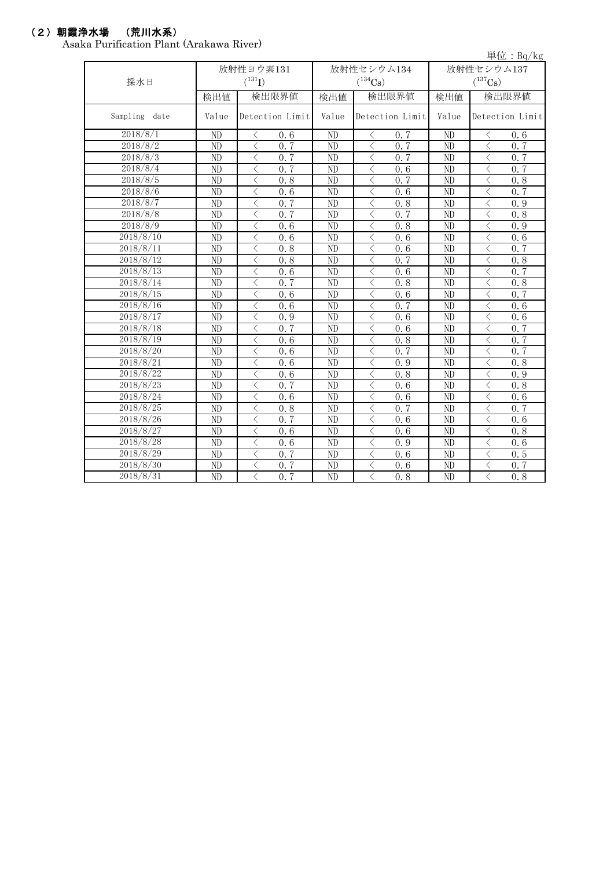## (2)朝霞浄水場 (荒川水系)

Asaka Purification Plant (Arakawa River)

|                  |                 |                                          |                 |                 |                                          |      |                 |                                          | 単位: $Bq/kg$ |
|------------------|-----------------|------------------------------------------|-----------------|-----------------|------------------------------------------|------|-----------------|------------------------------------------|-------------|
|                  | 放射性ヨウ素131       |                                          |                 |                 | 放射性セシウム134                               |      | 放射性セシウム137      |                                          |             |
| 採水日              |                 | $({}^{131}\mathrm{I})$                   |                 |                 | $(^{134}\mathrm{Cs})$                    |      |                 | $(^{137}\mathrm{Cs})$                    |             |
|                  | 検出値             |                                          | 検出限界値           | 検出値             | 検出限界値                                    |      | 検出値             |                                          | 検出限界値       |
| Sampling<br>date | Value           |                                          | Detection Limit | Value           | Detection Limit                          |      | Value           | Detection Limit                          |             |
| 2018/8/1         | ND              | ぐ                                        | 0, 6            | ND              | $\langle$                                | 0, 7 | ND              | $\lt$                                    | 0.6         |
| 2018/8/2         | $\rm ND$        | $\langle$                                | 0.7             | ND              | $\lt$                                    | 0.7  | ND              | $\lt$                                    | 0.7         |
| 2018/8/3         | $\rm ND$        | $\langle$                                | 0.7             | ND              | $\langle$                                | 0.7  | ND              | $\lt$                                    | 0.7         |
| 2018/8/4         | ND              | $\lt$                                    | 0.7             | ND              | $\lt$                                    | 0.6  | ND              | $\lt$                                    | 0.7         |
| 2018/8/5         | ND              | $\langle$                                | 0.8             | ND              | $\langle$                                | 0, 7 | ND              | $\lt$                                    | 0.8         |
| 2018/8/6         | ND              | $\langle$                                | 0.6             | $\overline{ND}$ | $\langle$                                | 0.6  | ND              | $\lt$                                    | 0, 7        |
| 2018/8/7         | ND              | $\langle$                                | 0, 7            | ND              | $\langle$                                | 0.8  | ND              | $\overline{\left\langle \right\rangle }$ | 0.9         |
| 2018/8/8         | ND              | $\lt$                                    | 0, 7            | ND              | $\langle$                                | 0, 7 | N <sub>D</sub>  | $\lt$                                    | 0, 8        |
| 2018/8/9         | ND              | $\langle$                                | 0.6             | ND              | $\langle$                                | 0.8  | $\overline{ND}$ | $\lt$                                    | 0.9         |
| 2018/8/10        | ND              | $\lt$                                    | 0.6             | ND              | $\langle$                                | 0.6  | $\overline{ND}$ | $\overline{\left\langle \right\rangle }$ | 0.6         |
| 2018/8/11        | $\overline{ND}$ | $\overline{\left\langle \right\rangle }$ | 0.8             | ND              | $\overline{\left\langle \right\rangle }$ | 0.6  | $\overline{ND}$ | $\overline{\left\langle \right\rangle }$ | 0, 7        |
| 2018/8/12        | $\overline{ND}$ | $\overline{\left\langle \right\rangle }$ | 0.8             | ND              | $\overline{\left\langle \right\rangle }$ | 0.7  | $\overline{ND}$ | $\overline{\left\langle \right\rangle }$ | 0.8         |
| 2018/8/13        | $\overline{ND}$ | $\overline{\left\langle \right\rangle }$ | 0.6             | $\overline{ND}$ | $\langle$                                | 0.6  | $\overline{ND}$ | $\overline{\left\langle \right\rangle }$ | 0, 7        |
| 2018/8/14        | ND              | $\langle$                                | 0, 7            | ND              | $\langle$                                | 0.8  | ND              | $\lt$                                    | 0.8         |
| 2018/8/15        | ND              | $\langle$                                | 0.6             | ND              | $\langle$                                | 0.6  | N <sub>D</sub>  | $\lt$                                    | 0, 7        |
| 2018/8/16        | ND              | $\lt$                                    | 0.6             | ND              | $\lt$                                    | 0.7  | ND              | $\lt$                                    | 0.6         |
| 2018/8/17        | ND              | $\langle$                                | 0.9             | ND              | $\langle$                                | 0.6  | ND              | $\lt$                                    | 0.6         |
| 2018/8/18        | ND              | $\langle$                                | 0.7             | ND              | $\langle$                                | 0.6  | ND              | $\lt$                                    | 0, 7        |
| 2018/8/19        | ND              | $\langle$                                | 0.6             | ND              | $\langle$                                | 0.8  | ND              | $\langle$                                | 0.7         |
| 2018/8/20        | ND              | $\langle$                                | 0.6             | ND              | $\langle$                                | 0, 7 | ND              | $\lt$                                    | 0.7         |
| 2018/8/21        | ND              | $\lt$                                    | 0.6             | ND              | $\langle$                                | 0.9  | N <sub>D</sub>  | $\lt$                                    | 0.8         |
| 2018/8/22        | ND              | ぐ                                        | 0, 6            | ND              | $\lt$                                    | 0.8  | N <sub>D</sub>  | $\lt$                                    | 0.9         |
| 2018/8/23        | ND              | $\langle$                                | 0, 7            | ND              | $\langle$                                | 0.6  | ND              | $\langle$                                | 0.8         |
| 2018/8/24        | $\overline{ND}$ | $\langle$                                | 0.6             | ND              | $\langle$                                | 0.6  | ND              | $\overline{\left\langle \right\rangle }$ | 0.6         |
| 2018/8/25        | ND              | $\langle$                                | 0.8             | ND              | $\lt$                                    | 0.7  | N <sub>D</sub>  | $\lt$                                    | 0.7         |
| 2018/8/26        | ND              | $\lt$                                    | 0.7             | ND              | $\lt$                                    | 0.6  | N <sub>D</sub>  | $\lt$                                    | 0.6         |
| 2018/8/27        | ND              | $\lt$                                    | 0.6             | ND              | $\lt$                                    | 0.6  | ND              | $\lt$                                    | 0.8         |
| 2018/8/28        | ND              | $\lt$                                    | 0.6             | ND              | $\langle$                                | 0.9  | N <sub>D</sub>  | $\lt$                                    | 0.6         |
| 2018/8/29        | ND              | $\langle$                                | 0.7             | ND              | $\langle$                                | 0.6  | ND              | $\lt$                                    | 0.5         |
| 2018/8/30        | ND              | $\lt$                                    | 0.7             | ND              | $\lt$                                    | 0.6  | ND              | $\lt$                                    | 0.7         |
| 2018/8/31        | ND              | $\langle$                                | 0, 7            | ND              | $\langle$                                | 0.8  | $\overline{ND}$ | $\overline{\left\langle \right\rangle }$ | 0, 8        |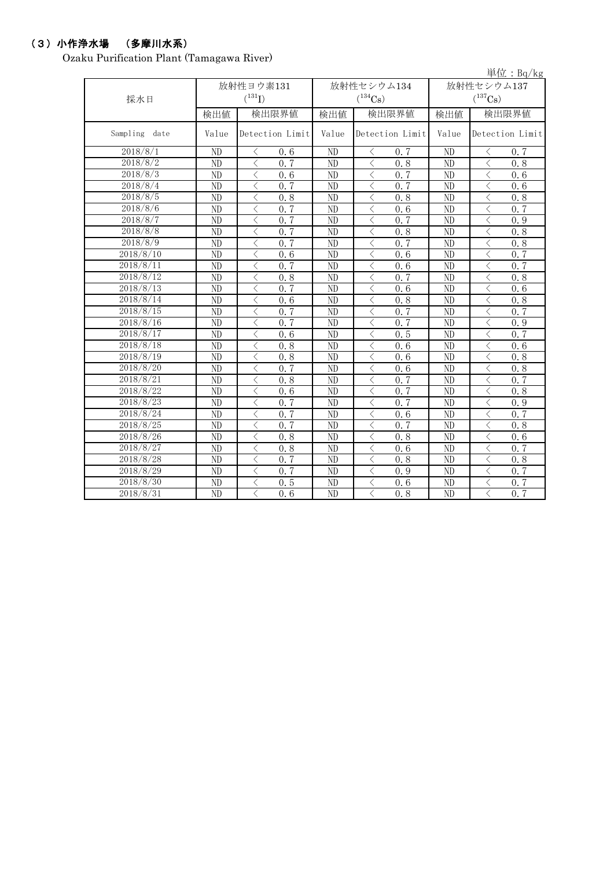#### (3)小作浄水場 (多摩川水系)

Ozaku Purification Plant (Tamagawa River)

単位:Bq/kg 検出値 | 検出値 | 検出限界値 | 検出値 Value Detection Limit Value Detection Limit Value ND  $\vert$   $\vert$   $\vert$  0.6  $\vert$  ND  $\vert$   $\vert$   $\vert$  0.7  $\vert$  ND  $\vert$   $\vert$   $\vert$  0.7 ND < 0.7 ND < 0.8 ND < 0.8 ND < 0.6 ND < 0.7 ND < 0.6 ND  $\vert$  < 0.7 | ND  $\vert$  < 0.7 | ND  $\vert$  < 0.6 ND < 0.8 ND < 0.8 ND < 0.8 ND  $\vert$   $\langle$  0.7  $\vert$  ND  $\vert$   $\langle$  0.6  $\vert$  ND  $\vert$   $\langle$  0.7 ND  $\vert$   $\langle$  0.7  $\vert$  ND  $\vert$   $\langle$  0.7  $\vert$  ND  $\vert$   $\langle$  0.9 ND < 0.7 ND < 0.8 ND < 0.8 ND  $\vert$  < 0.7 | ND  $\vert$  < 0.7 | ND  $\vert$  < 0.8 ND  $\vert$   $\vert$   $\vert$  0.6  $\vert$  ND  $\vert$   $\vert$   $\vert$  0.6  $\vert$  ND  $\vert$   $\vert$   $\vert$  0.7 ND  $\vert$   $\langle$  0.7  $\vert$  ND  $\vert$   $\langle$  0.6  $\vert$  ND  $\vert$   $\langle$  0.7 ND < 0.8 ND < 0.7 ND < 0.8 ND < 0.7 ND < 0.6 ND < 0.6 ND < 0.6 ND < 0.8 ND < 0.8 ND  $\vert$   $\langle$  0.7  $\vert$  ND  $\vert$   $\langle$  0.7  $\vert$  ND  $\vert$   $\langle$  0.7 ND  $\vert$   $\langle$  0.7  $\vert$  ND  $\vert$   $\langle$  0.7  $\vert$  ND  $\vert$   $\langle$  0.9 ND  $\vert$  < 0.6 | ND  $\vert$  < 0.5 | ND | < 0.7 ND < 0.8 ND < 0.6 ND < 0.6 ND < 0.8 ND < 0.6 ND < 0.8 ND < 0.7 ND < 0.6 ND < 0.8 ND  $\vert$   $\langle$  0.8  $\vert$  ND  $\vert$   $\langle$  0.7  $\vert$  ND  $\vert$   $\langle$  0.7 ND < 0.6 ND < 0.7 ND < 0.8 ND  $\vert$   $\langle$  0.7  $\vert$  ND  $\vert$   $\langle$  0.7  $\vert$  ND  $\vert$   $\langle$  0.9 ND  $\vert$   $\langle$  0.7  $\vert$  ND  $\vert$   $\langle$  0.6  $\vert$  ND  $\vert$   $\langle$  0.7 ND  $\vert$   $\langle$  0.7  $\vert$  ND  $\vert$   $\langle$  0.7  $\vert$  ND  $\vert$   $\langle$  0.8 ND < 0.8 ND < 0.8 ND < 0.6 ND < 0.8 ND < 0.6 ND < 0.7 ND < 0.7 ND < 0.8 ND < 0.8 ND  $\vert$  < 0.7 | ND  $\vert$  < 0.9 | ND | < 0.7  $\text{ND}$   $\langle$  0.5 ND  $\langle$  0.6 ND  $\langle$  0.7 ND  $\vert$  < 0.6 | ND  $\vert$  < 0.8 | ND | < 0.7 2018/8/10 Detection Limit 放射性セシウム134  $(^{134}Cs)$ 2018/8/14 2018/8/25 2018/8/23 2018/8/17 放射性セシウム137  $(^{137}Cs)$ 検出限界値 検出限界値 2018/8/12 2018/8/13 放射性ヨウ素131  $(^{131}I)$ 2018/8/2 Detection Limit 2018/8/11 Sampling date 採水日 2018/8/30 2018/8/21 2018/8/18 2018/8/15 2018/8/22 2018/8/19 2018/8/27 2018/8/28 2018/8/29 2018/8/31 2018/8/20 2018/8/26 2018/8/8 2018/8/3 2018/8/7 2018/8/9 2018/8/16 2018/8/1 2018/8/5 2018/8/6 2018/8/24 2018/8/4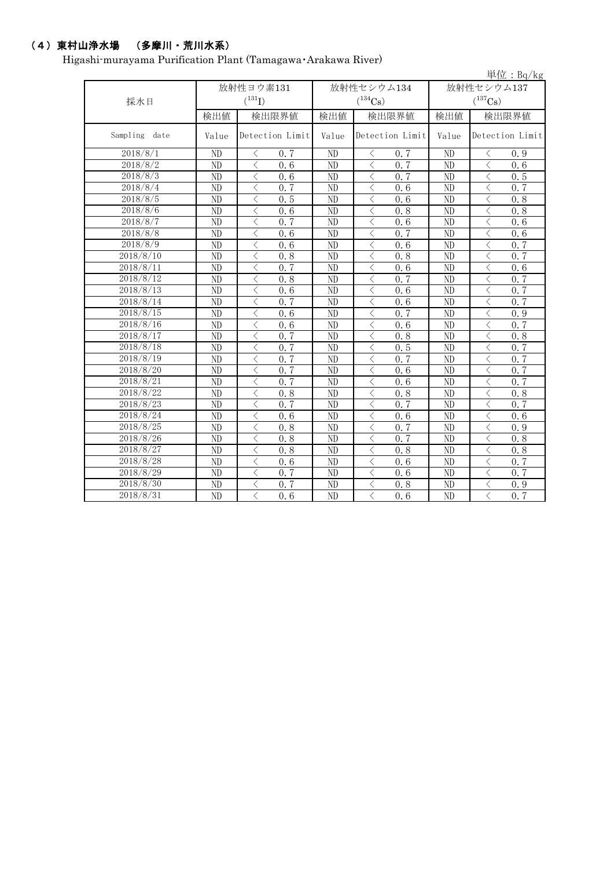## (4)東村山浄水場 (多摩川・荒川水系)

Higashi-murayama Purification Plant (Tamagawa・Arakawa River)

|                  |                 |                                                  |                 |                                                 |                       | 単位: $Bq/kg$                                      |  |
|------------------|-----------------|--------------------------------------------------|-----------------|-------------------------------------------------|-----------------------|--------------------------------------------------|--|
|                  |                 | 放射性ヨウ素131                                        |                 | 放射性セシウム134                                      | 放射性セシウム137            |                                                  |  |
| 採水日              |                 | $(^{131}I)$                                      |                 | $(^{134}Cs)$                                    | $(^{137}\mathrm{Cs})$ |                                                  |  |
|                  | 検出値             | 検出限界値                                            | 検出値             | 検出限界値                                           | 検出値                   | 検出限界値                                            |  |
| Sampling<br>date | Value           | Detection Limit                                  | Value           | Detection Limit                                 | Value                 | Detection Limit                                  |  |
| 2018/8/1         | ND              | 0, 7<br>⟨                                        | ND              | $\langle$<br>0.7                                | ND                    | 0.9<br>⟨                                         |  |
| 2018/8/2         | ND              | $\lt$<br>0.6                                     | ND              | $\lt$<br>0.7                                    | ND                    | $\langle$<br>0.6                                 |  |
| 2018/8/3         | ND              | $\langle$<br>0.6                                 | ND              | $\langle$<br>0, 7                               | ND                    | $\lt$<br>0.5                                     |  |
| 2018/8/4         | ND              | $\lt$<br>0.7                                     | ND              | $\lt$<br>0.6                                    | ND                    | $\lt$<br>0.7                                     |  |
| 2018/8/5         | ND              | 0.5<br>$\langle$                                 | ND              | $\langle$<br>0.6                                | ND                    | $\lt$<br>0.8                                     |  |
| 2018/8/6         | $\overline{ND}$ | $\overline{\left\langle \right\rangle }$<br>0, 6 | $\overline{ND}$ | $\langle$<br>0, 8                               | ND                    | $\lt$<br>0, 8                                    |  |
| 2018/8/7         | $\overline{ND}$ | $\overline{\left\langle \right\rangle }$<br>0.7  | ND              | $\langle$<br>0.6                                | ND                    | $\lt$<br>0.6                                     |  |
| 2018/8/8         | $\overline{ND}$ | $\langle$<br>0.6                                 | ND              | 0, 7<br>$\langle$                               | ND                    | $\lt$<br>0.6                                     |  |
| 2018/8/9         | ND              | $\lt$<br>0.6                                     | N <sub>D</sub>  | 0.6<br>$\langle$                                | N <sub>D</sub>        | $\lt$<br>0, 7                                    |  |
| 2018/8/10        | $\overline{ND}$ | $\langle$<br>0.8                                 | $\overline{ND}$ | $\langle$<br>0.8                                | $\overline{ND}$       | $\overline{\left\langle \right\rangle }$<br>0.7  |  |
| 2018/8/11        | $\overline{ND}$ | 0.7<br>$\overline{\left\langle \right\rangle }$  | $\overline{ND}$ | $\overline{\left\langle \right\rangle }$<br>0.6 | $\overline{ND}$       | $\overline{\left\langle \right\rangle }$<br>0.6  |  |
| 2018/8/12        | ND              | $\langle$<br>0.8                                 | ND              | 0.7<br>$\lt$                                    | ND                    | $\lt$<br>0.7                                     |  |
| 2018/8/13        | $\overline{ND}$ | $\langle$<br>0.6                                 | ND              | $\langle$<br>0.6                                | ND                    | $\lt$<br>$0.\overline{7}$                        |  |
| 2018/8/14        | ND              | 0.7<br>$\lt$                                     | ND              | $\langle$<br>0, 6                               | N <sub>D</sub>        | 0, 7<br>$\lt$                                    |  |
| 2018/8/15        | ND              | $\lt$<br>0.6                                     | ND              | 0, 7<br>$\langle$                               | ND                    | $\lt$<br>0.9                                     |  |
| 2018/8/16        | ND              | $\lt$<br>0.6                                     | ND              | $\langle$<br>0.6                                | ND                    | 0.7<br>$\lt$                                     |  |
| 2018/8/17        | ND              | 0.7<br>$\lt$                                     | ND              | 0.8<br>$\lt$                                    | ND                    | $\lt$<br>0.8                                     |  |
| 2018/8/18        | ND              | $\langle$<br>0.7                                 | N <sub>D</sub>  | $\lt$<br>0.5                                    | ND                    | $\langle$<br>0.7                                 |  |
| 2018/8/19        | ND              | $\overline{\left\langle \right\rangle }$<br>0.7  | ND              | $\lt$<br>0, 7                                   | ND                    | $\lt$<br>0, 7                                    |  |
| 2018/8/20        | ND              | $\overline{\left\langle \right\rangle }$<br>0.7  | ND              | $\lt$<br>0.6                                    | ND                    | $\lt$<br>0, 7                                    |  |
| 2018/8/21        | ND              | 0.7<br>$\lt$                                     | ND              | $\langle$<br>0.6                                | ND                    | 0.7<br>$\lt$                                     |  |
| 2018/8/22        | ND              | $\langle$<br>0.8                                 | ND              | $\langle$<br>0.8                                | ND                    | 0.8<br>ぐ                                         |  |
| 2018/8/23        | $\overline{ND}$ | $\overline{\left\langle \right\rangle }$<br>0, 7 | ND              | $\langle$<br>0, 7                               | ND                    | $\lt$<br>0.7                                     |  |
| 2018/8/24        | $\overline{ND}$ | $\overline{\left\langle \right\rangle }$<br>0, 6 | ND              | $\overline{\left\langle \right\rangle }$<br>0.6 | ND                    | $\overline{\left\langle \right\rangle }$<br>0, 6 |  |
| 2018/8/25        | ND              | $\lt$<br>0.8                                     | ND              | 0.7<br>$\langle$                                | ND                    | $\lt$<br>0.9                                     |  |
| 2018/8/26        | ND              | $\lt$<br>0.8                                     | ND              | $\langle$<br>0, 7                               | N <sub>D</sub>        | $\lt$<br>0.8                                     |  |
| 2018/8/27        | ND              | $\langle$<br>0.8                                 | N <sub>D</sub>  | $\lt$<br>0.8                                    | N <sub>D</sub>        | $\lt$<br>0.8                                     |  |
| 2018/8/28        | ND              | $\langle$<br>0.6                                 | N <sub>D</sub>  | $\langle$<br>0.6                                | ND                    | $\overline{\left\langle \right\rangle }$<br>0.7  |  |
| 2018/8/29        | ND              | $\langle$<br>0, 7                                | ND              | $\lt$<br>0.6                                    | ND                    | $\lt$<br>0, 7                                    |  |
| 2018/8/30        | ND              | 0.7<br>$\lt$                                     | ND              | $\lt$<br>0.8                                    | ND                    | $\lt$<br>0.9                                     |  |
| 2018/8/31        | ND              | $\langle$<br>0.6                                 | ND              | $\langle$<br>0.6                                | ND                    | $\overline{\left\langle \right\rangle }$<br>0, 7 |  |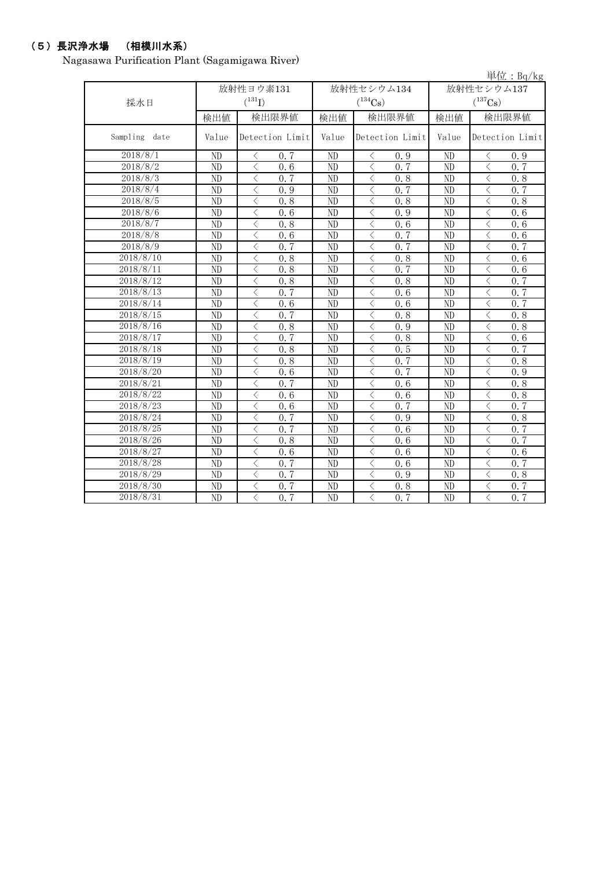## (5)長沢浄水場 (相模川水系)

Nagasawa Purification Plant (Sagamigawa River)

|                  |                         |                                                  |                 |                                                  |                        | 単位: $Bq/kg$                                                  |  |  |
|------------------|-------------------------|--------------------------------------------------|-----------------|--------------------------------------------------|------------------------|--------------------------------------------------------------|--|--|
|                  | 放射性ヨウ素131<br>放射性セシウム134 |                                                  |                 |                                                  | 放射性セシウム137             |                                                              |  |  |
| 採水日              |                         | $(^{131}I)$                                      |                 | $(^{134}Cs)$                                     | $(^{137}Cs)$           |                                                              |  |  |
|                  | 検出値                     | 検出限界値                                            | 検出値             | 検出限界値                                            | 検出値                    | 検出限界値                                                        |  |  |
| Sampling<br>date | Value                   | Detection Limit                                  | Value           | Detection Limit                                  | Value                  | Detection Limit                                              |  |  |
| 2018/8/1         | ND                      | 0.7<br>⟨                                         | ND              | 0.9<br>ぐ                                         | ND                     | 0.9<br>く                                                     |  |  |
| 2018/8/2         | ND                      | $\lt$<br>0.6                                     | ND              | $\langle$<br>0, 7                                | ND                     | $\lt$<br>0.7                                                 |  |  |
| 2018/8/3         | ND                      | ✓<br>0.7                                         | ND              | $\langle$<br>0.8                                 | ND                     | $\langle$<br>0.8                                             |  |  |
| 2018/8/4         | $\overline{ND}$         | $\overline{\left\langle \right\rangle }$<br>0.9  | ND              | $\langle$<br>0.7                                 | $\overline{\text{ND}}$ | $\overline{\left\langle \right\rangle }$<br>0.7              |  |  |
| 2018/8/5         | ND                      | $\overline{\left\langle \right\rangle }$<br>0.8  | ND              | 0.8<br>$\langle$                                 | ND                     | $\langle$<br>0.8                                             |  |  |
| 2018/8/6         | ND                      | 0.6<br>$\langle$                                 | ND              | 0.9<br>$\langle$                                 | ND                     | $\lt$<br>0.6                                                 |  |  |
| 2018/8/7         | $\overline{ND}$         | 0.8<br>$\lt$                                     | ND              | 0.6<br>$\langle$                                 | $\overline{ND}$        | $\lt$<br>0.6                                                 |  |  |
| 2018/8/8         | $\overline{ND}$         | $\overline{\left\langle \right\rangle }$<br>0, 6 | $\overline{ND}$ | 0.7<br>$\overline{\left\langle \right\rangle }$  | $\overline{ND}$        | $\overline{\left\langle \right\rangle }$<br>0.6              |  |  |
| 2018/8/9         | ND                      | 0, 7<br>$\langle$                                | ND              | 0, 7<br>$\langle$                                | ND                     | $\overline{\left\langle \right\rangle }$<br>0, 7             |  |  |
| 2018/8/10        | ND                      | $\overline{\left\langle \right\rangle }$<br>0.8  | ND              | $\overline{\left\langle \right\rangle }$<br>0.8  | $\overline{ND}$        | $\overline{\left\langle \right\rangle }$<br>0, 6             |  |  |
| 2018/8/11        | $\overline{ND}$         | $\langle$<br>0.8                                 | ND              | $\overline{\left\langle \right\rangle }$<br>0.7  | $\overline{ND}$        | $\overline{\left\langle \right\rangle }$<br>$0.\overline{6}$ |  |  |
| 2018/8/12        | ND                      | 0.8<br>$\langle$                                 | N <sub>D</sub>  | $\langle$<br>0.8                                 | ND                     | $\lt$<br>0, 7                                                |  |  |
| 2018/8/13        | ND                      | 0, 7<br>$\lt$                                    | ND              | $\lt$<br>0.6                                     | ND                     | $\lt$<br>0.7                                                 |  |  |
| 2018/8/14        | ND                      | $\lt$<br>0.6                                     | ND              | $\lt$<br>0.6                                     | ND                     | $\lt$<br>0.7                                                 |  |  |
| 2018/8/15        | ND                      | 0.7<br>$\lt$                                     | ND              | 0.8<br>$\lt$                                     | ND                     | $\lt$<br>0.8                                                 |  |  |
| 2018/8/16        | ND                      | 0.8<br>$\lt$                                     | ND              | 0.9<br>$\langle$                                 | ND                     | $\lt$<br>0.8                                                 |  |  |
| 2018/8/17        | ND                      | $\lt$<br>0.7                                     | N <sub>D</sub>  | 0.8<br>く                                         | ND                     | $\lt$<br>0.6                                                 |  |  |
| 2018/8/18        | ND                      | $\lt$<br>0.8                                     | N <sub>D</sub>  | 0.5<br>$\lt$                                     | ND                     | $\lt$<br>0.7                                                 |  |  |
| 2018/8/19        | ND                      | $\langle$<br>0.8                                 | ND              | $\lt$<br>0.7                                     | ND                     | $\overline{\langle}$<br>0.8                                  |  |  |
| 2018/8/20        | $\overline{ND}$         | $\langle$<br>0.6                                 | N <sub>D</sub>  | $\overline{\left\langle \right\rangle }$<br>0, 7 | ND                     | $\overline{\left\langle \right\rangle }$<br>0.9              |  |  |
| 2018/8/21        | ND                      | $\lt$<br>0.7                                     | ND              | $\lt$<br>0.6                                     | ND                     | $\hspace{0.5cm}\mathopen{<}$<br>0.8                          |  |  |
| 2018/8/22        | ND                      | $\lt$<br>0.6                                     | ND              | $\lt$<br>0.6                                     | ND                     | $\langle$<br>0.8                                             |  |  |
| 2018/8/23        | ND                      | $\overline{\left\langle \right\rangle }$<br>0.6  | ND              | $\overline{\left\langle \right\rangle }$<br>0, 7 | ND                     | $\langle$<br>0, 7                                            |  |  |
| 2018/8/24        | ND                      | $\overline{\left\langle \right\rangle }$<br>0.7  | ND              | $\langle$<br>0.9                                 | ND                     | $\lt$<br>0.8                                                 |  |  |
| 2018/8/25        | ND                      | $\langle$<br>0, 7                                | ND              | 0.6<br>$\langle$                                 | ND                     | $\lt$<br>0.7                                                 |  |  |
| 2018/8/26        | ND                      | 0.8<br>$\langle$                                 | ND              | $\langle$<br>0.6                                 | ND                     | 0, 7<br>$\lt$                                                |  |  |
| 2018/8/27        | ND                      | $\langle$<br>0.6                                 | ND              | 0.6<br>$\langle$                                 | ND                     | $\lt$<br>0.6                                                 |  |  |
| 2018/8/28        | ND                      | $\overline{\left\langle \right\rangle }$<br>0, 7 | N <sub>D</sub>  | 0, 6<br>$\overline{\left\langle \right\rangle }$ | ND                     | $\lt$<br>0, 7                                                |  |  |
| 2018/8/29        | ND                      | 0, 7<br>$\langle$                                | N <sub>D</sub>  | $\overline{\left\langle \right\rangle }$<br>0.9  | ND                     | $\lt$<br>0.8                                                 |  |  |
| 2018/8/30        | ND                      | $\langle$<br>0, 7                                | N <sub>D</sub>  | $\langle$<br>0.8                                 | ND                     | $\overline{\left\langle \right\rangle }$<br>0, 7             |  |  |
| 2018/8/31        | ND                      | $\overline{\left\langle \right\rangle }$<br>0.7  | ND              | $\overline{\left\langle \right\rangle }$<br>0.7  | ND                     | $\overline{\left\langle \right\rangle }$<br>0, 7             |  |  |